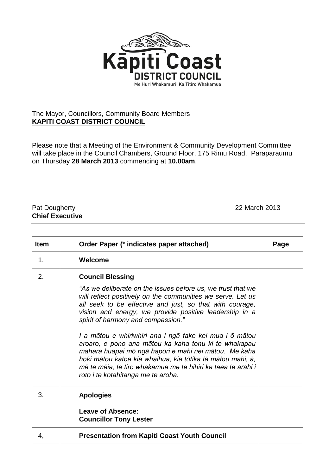

## The Mayor, Councillors, Community Board Members **KAPITI COAST DISTRICT COUNCIL**

Please note that a Meeting of the Environment & Community Development Committee will take place in the Council Chambers, Ground Floor, 175 Rimu Road, Paraparaumu on Thursday **28 March 2013** commencing at **10.00am**.

## Pat Dougherty 22 March 2013 **Chief Executive**

| <b>Item</b> | Order Paper (* indicates paper attached)                                                                                                                                                                                                                                                                                                                                                                                                                                                                                                                    | Page |
|-------------|-------------------------------------------------------------------------------------------------------------------------------------------------------------------------------------------------------------------------------------------------------------------------------------------------------------------------------------------------------------------------------------------------------------------------------------------------------------------------------------------------------------------------------------------------------------|------|
| 1.          | Welcome                                                                                                                                                                                                                                                                                                                                                                                                                                                                                                                                                     |      |
| 2.          | <b>Council Blessing</b><br>"As we deliberate on the issues before us, we trust that we<br>will reflect positively on the communities we serve. Let us<br>all seek to be effective and just, so that with courage,<br>vision and energy, we provide positive leadership in a<br>spirit of harmony and compassion."<br>I a mātou e whiriwhiri ana i ngā take kei mua i ō mātou<br>aroaro, e pono ana mātou ka kaha tonu ki te whakapau<br>mahara huapai mō ngā hapori e mahi nei mātou. Me kaha<br>hoki mātou katoa kia whaihua, kia tōtika tā mātou mahi, ā, |      |
|             | mā te māia, te tiro whakamua me te hihiri ka taea te arahi i<br>roto i te kotahitanga me te aroha.                                                                                                                                                                                                                                                                                                                                                                                                                                                          |      |
| 3.          | <b>Apologies</b><br>Leave of Absence:<br><b>Councillor Tony Lester</b>                                                                                                                                                                                                                                                                                                                                                                                                                                                                                      |      |
| 4,          | <b>Presentation from Kapiti Coast Youth Council</b>                                                                                                                                                                                                                                                                                                                                                                                                                                                                                                         |      |